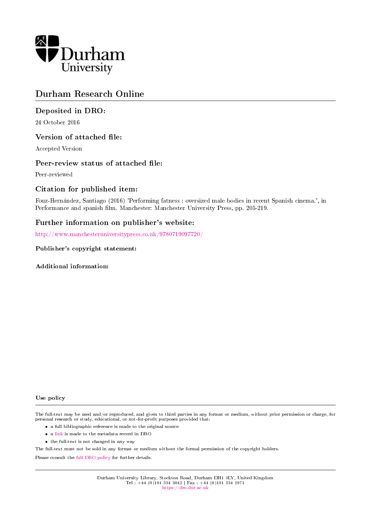

# Durham Research Online

## Deposited in DRO:

24 October 2016

### Version of attached file:

Accepted Version

### Peer-review status of attached file:

Peer-reviewed

### Citation for published item:

Fouz-Hernandez, Santiago (2016) 'Performing fatness : oversized male bodies in recent Spanish cinema.', in Performance and spanish film. Manchester: Manchester University Press, pp. 205-219.

## Further information on publisher's website:

<http://www.manchesteruniversitypress.co.uk/9780719097720/>

#### Publisher's copyright statement:

Additional information:

#### Use policy

The full-text may be used and/or reproduced, and given to third parties in any format or medium, without prior permission or charge, for personal research or study, educational, or not-for-profit purposes provided that:

- a full bibliographic reference is made to the original source
- a [link](http://dro.dur.ac.uk/20090/) is made to the metadata record in DRO
- the full-text is not changed in any way

The full-text must not be sold in any format or medium without the formal permission of the copyright holders.

Please consult the [full DRO policy](https://dro.dur.ac.uk/policies/usepolicy.pdf) for further details.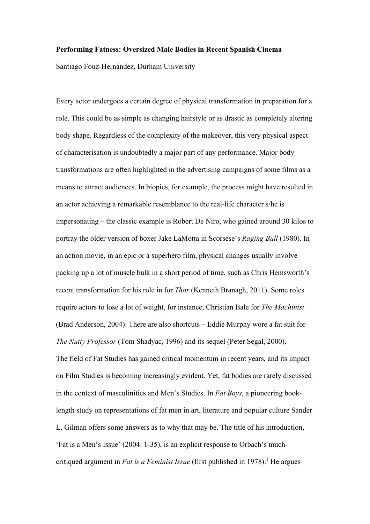#### **Performing Fatness: Oversized Male Bodies in Recent Spanish Cinema**

Santiago Fouz-Hernández, Durham University

Every actor undergoes a certain degree of physical transformation in preparation for a role. This could be as simple as changing hairstyle or as drastic as completely altering body shape. Regardless of the complexity of the makeover, this very physical aspect of characterisation is undoubtedly a major part of any performance. Major body transformations are often highlighted in the advertising campaigns of some films as a means to attract audiences. In biopics, for example, the process might have resulted in an actor achieving a remarkable resemblance to the real-life character s/he is impersonating – the classic example is Robert De Niro, who gained around 30 kilos to portray the older version of boxer Jake LaMotta in Scorsese's *Raging Bull* (1980). In an action movie, in an epic or a superhero film, physical changes usually involve packing up a lot of muscle bulk in a short period of time, such as Chris Hemsworth's recent transformation for his role in for *Thor* (Kenneth Branagh, 2011). Some roles require actors to lose a lot of weight, for instance, Christian Bale for *The Machinist*  (Brad Anderson, 2004). There are also shortcuts – Eddie Murphy wore a fat suit for *The Nutty Professor* (Tom Shadyac, 1996) and its sequel (Peter Segal, 2000). The field of Fat Studies has gained critical momentum in recent years, and its impact on Film Studies is becoming increasingly evident. Yet, fat bodies are rarely discussed in the context of masculinities and Men's Studies. In *Fat Boys*, a pioneering booklength study on representations of fat men in art, literature and popular culture Sander L. Gilman offers some answers as to why that may be. The title of his introduction, 'Fat is a Men's Issue' (2004: 1-35), is an explicit response to Orbach's muchcritiqued argument in *Fat is a Feminist Issue* (first published in 1978).<sup>1</sup> He argues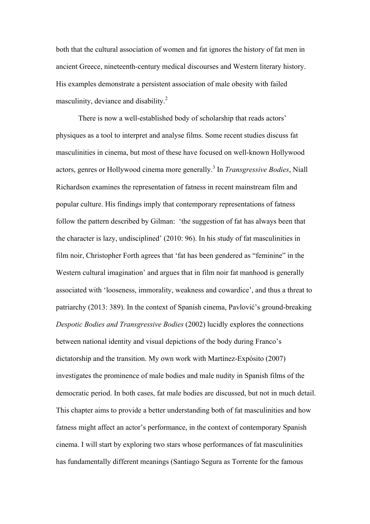both that the cultural association of women and fat ignores the history of fat men in ancient Greece, nineteenth-century medical discourses and Western literary history. His examples demonstrate a persistent association of male obesity with failed masculinity, deviance and disability.<sup>2</sup>

There is now a well-established body of scholarship that reads actors' physiques as a tool to interpret and analyse films. Some recent studies discuss fat masculinities in cinema, but most of these have focused on well-known Hollywood actors, genres or Hollywood cinema more generally.<sup>3</sup> In *Transgressive Bodies*, Niall Richardson examines the representation of fatness in recent mainstream film and popular culture. His findings imply that contemporary representations of fatness follow the pattern described by Gilman: 'the suggestion of fat has always been that the character is lazy, undisciplined' (2010: 96). In his study of fat masculinities in film noir, Christopher Forth agrees that 'fat has been gendered as "feminine" in the Western cultural imagination' and argues that in film noir fat manhood is generally associated with 'looseness, immorality, weakness and cowardice', and thus a threat to patriarchy (2013: 389). In the context of Spanish cinema, Pavlović's ground-breaking *Despotic Bodies and Transgressive Bodies* (2002) lucidly explores the connections between national identity and visual depictions of the body during Franco's dictatorship and the transition. My own work with Martínez-Expósito (2007) investigates the prominence of male bodies and male nudity in Spanish films of the democratic period. In both cases, fat male bodies are discussed, but not in much detail. This chapter aims to provide a better understanding both of fat masculinities and how fatness might affect an actor's performance, in the context of contemporary Spanish cinema. I will start by exploring two stars whose performances of fat masculinities has fundamentally different meanings (Santiago Segura as Torrente for the famous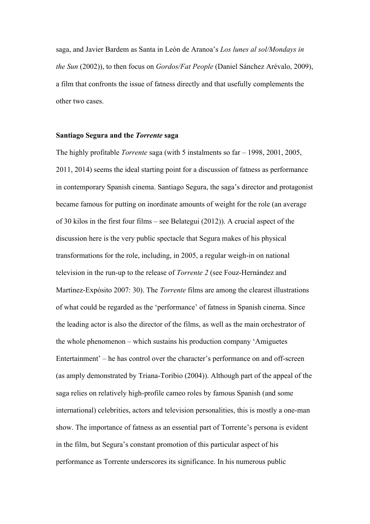saga, and Javier Bardem as Santa in León de Aranoa's *Los lunes al sol/Mondays in the Sun* (2002)), to then focus on *Gordos/Fat People* (Daniel Sánchez Arévalo, 2009), a film that confronts the issue of fatness directly and that usefully complements the other two cases.

#### **Santiago Segura and the** *Torrente* **saga**

The highly profitable *Torrente* saga (with 5 instalments so far – 1998, 2001, 2005, 2011, 2014) seems the ideal starting point for a discussion of fatness as performance in contemporary Spanish cinema. Santiago Segura, the saga's director and protagonist became famous for putting on inordinate amounts of weight for the role (an average of 30 kilos in the first four films – see Belategui (2012)). A crucial aspect of the discussion here is the very public spectacle that Segura makes of his physical transformations for the role, including, in 2005, a regular weigh-in on national television in the run-up to the release of *Torrente 2* (see Fouz-Hernández and Martínez-Expósito 2007: 30). The *Torrente* films are among the clearest illustrations of what could be regarded as the 'performance' of fatness in Spanish cinema. Since the leading actor is also the director of the films, as well as the main orchestrator of the whole phenomenon – which sustains his production company 'Amiguetes Entertainment' – he has control over the character's performance on and off-screen (as amply demonstrated by Triana-Toribio (2004)). Although part of the appeal of the saga relies on relatively high-profile cameo roles by famous Spanish (and some international) celebrities, actors and television personalities, this is mostly a one-man show. The importance of fatness as an essential part of Torrente's persona is evident in the film, but Segura's constant promotion of this particular aspect of his performance as Torrente underscores its significance. In his numerous public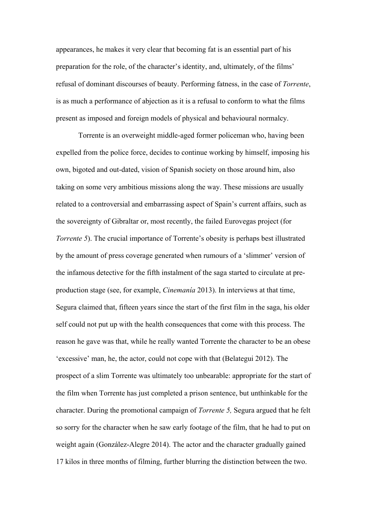appearances, he makes it very clear that becoming fat is an essential part of his preparation for the role, of the character's identity, and, ultimately, of the films' refusal of dominant discourses of beauty. Performing fatness, in the case of *Torrente*, is as much a performance of abjection as it is a refusal to conform to what the films present as imposed and foreign models of physical and behavioural normalcy.

Torrente is an overweight middle-aged former policeman who, having been expelled from the police force, decides to continue working by himself, imposing his own, bigoted and out-dated, vision of Spanish society on those around him, also taking on some very ambitious missions along the way. These missions are usually related to a controversial and embarrassing aspect of Spain's current affairs, such as the sovereignty of Gibraltar or, most recently, the failed Eurovegas project (for *Torrente 5*). The crucial importance of Torrente's obesity is perhaps best illustrated by the amount of press coverage generated when rumours of a 'slimmer' version of the infamous detective for the fifth instalment of the saga started to circulate at preproduction stage (see, for example, *Cinemanía* 2013). In interviews at that time, Segura claimed that, fifteen years since the start of the first film in the saga, his older self could not put up with the health consequences that come with this process. The reason he gave was that, while he really wanted Torrente the character to be an obese 'excessive' man, he, the actor, could not cope with that (Belategui 2012). The prospect of a slim Torrente was ultimately too unbearable: appropriate for the start of the film when Torrente has just completed a prison sentence, but unthinkable for the character. During the promotional campaign of *Torrente 5,* Segura argued that he felt so sorry for the character when he saw early footage of the film, that he had to put on weight again (González-Alegre 2014). The actor and the character gradually gained 17 kilos in three months of filming, further blurring the distinction between the two.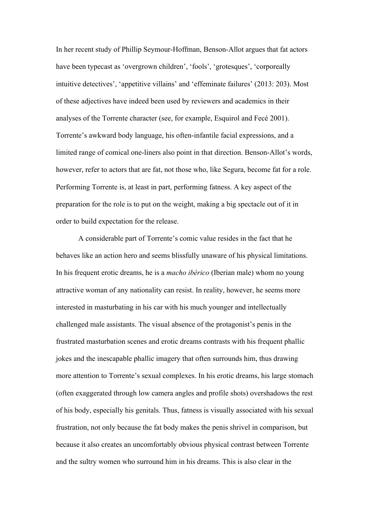In her recent study of Phillip Seymour-Hoffman, Benson-Allot argues that fat actors have been typecast as 'overgrown children', 'fools', 'grotesques', 'corporeally intuitive detectives', 'appetitive villains' and 'effeminate failures' (2013: 203). Most of these adjectives have indeed been used by reviewers and academics in their analyses of the Torrente character (see, for example, Esquirol and Fecé 2001). Torrente's awkward body language, his often-infantile facial expressions, and a limited range of comical one-liners also point in that direction. Benson-Allot's words, however, refer to actors that are fat, not those who, like Segura, become fat for a role. Performing Torrente is, at least in part, performing fatness. A key aspect of the preparation for the role is to put on the weight, making a big spectacle out of it in order to build expectation for the release.

A considerable part of Torrente's comic value resides in the fact that he behaves like an action hero and seems blissfully unaware of his physical limitations. In his frequent erotic dreams, he is a *macho ibérico* (Iberian male) whom no young attractive woman of any nationality can resist. In reality, however, he seems more interested in masturbating in his car with his much younger and intellectually challenged male assistants. The visual absence of the protagonist's penis in the frustrated masturbation scenes and erotic dreams contrasts with his frequent phallic jokes and the inescapable phallic imagery that often surrounds him, thus drawing more attention to Torrente's sexual complexes. In his erotic dreams, his large stomach (often exaggerated through low camera angles and profile shots) overshadows the rest of his body, especially his genitals. Thus, fatness is visually associated with his sexual frustration, not only because the fat body makes the penis shrivel in comparison, but because it also creates an uncomfortably obvious physical contrast between Torrente and the sultry women who surround him in his dreams. This is also clear in the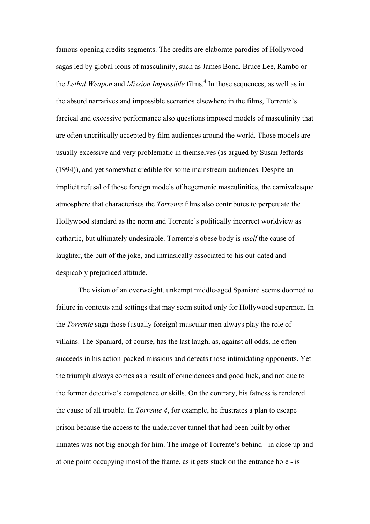famous opening credits segments. The credits are elaborate parodies of Hollywood sagas led by global icons of masculinity, such as James Bond, Bruce Lee, Rambo or the *Lethal Weapon* and *Mission Impossible* films.<sup>4</sup> In those sequences, as well as in the absurd narratives and impossible scenarios elsewhere in the films, Torrente's farcical and excessive performance also questions imposed models of masculinity that are often uncritically accepted by film audiences around the world. Those models are usually excessive and very problematic in themselves (as argued by Susan Jeffords (1994)), and yet somewhat credible for some mainstream audiences. Despite an implicit refusal of those foreign models of hegemonic masculinities, the carnivalesque atmosphere that characterises the *Torrente* films also contributes to perpetuate the Hollywood standard as the norm and Torrente's politically incorrect worldview as cathartic, but ultimately undesirable. Torrente's obese body is *itself* the cause of laughter, the butt of the joke, and intrinsically associated to his out-dated and despicably prejudiced attitude.

The vision of an overweight, unkempt middle-aged Spaniard seems doomed to failure in contexts and settings that may seem suited only for Hollywood supermen. In the *Torrente* saga those (usually foreign) muscular men always play the role of villains. The Spaniard, of course, has the last laugh, as, against all odds, he often succeeds in his action-packed missions and defeats those intimidating opponents. Yet the triumph always comes as a result of coincidences and good luck, and not due to the former detective's competence or skills. On the contrary, his fatness is rendered the cause of all trouble. In *Torrente 4*, for example, he frustrates a plan to escape prison because the access to the undercover tunnel that had been built by other inmates was not big enough for him. The image of Torrente's behind - in close up and at one point occupying most of the frame, as it gets stuck on the entrance hole - is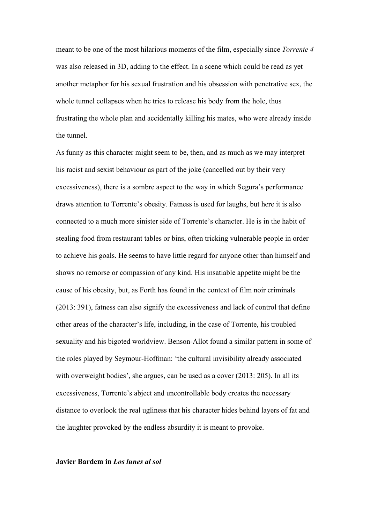meant to be one of the most hilarious moments of the film, especially since *Torrente 4* was also released in 3D, adding to the effect. In a scene which could be read as yet another metaphor for his sexual frustration and his obsession with penetrative sex, the whole tunnel collapses when he tries to release his body from the hole, thus frustrating the whole plan and accidentally killing his mates, who were already inside the tunnel.

As funny as this character might seem to be, then, and as much as we may interpret his racist and sexist behaviour as part of the joke (cancelled out by their very excessiveness), there is a sombre aspect to the way in which Segura's performance draws attention to Torrente's obesity. Fatness is used for laughs, but here it is also connected to a much more sinister side of Torrente's character. He is in the habit of stealing food from restaurant tables or bins, often tricking vulnerable people in order to achieve his goals. He seems to have little regard for anyone other than himself and shows no remorse or compassion of any kind. His insatiable appetite might be the cause of his obesity, but, as Forth has found in the context of film noir criminals (2013: 391), fatness can also signify the excessiveness and lack of control that define other areas of the character's life, including, in the case of Torrente, his troubled sexuality and his bigoted worldview. Benson-Allot found a similar pattern in some of the roles played by Seymour-Hoffman: 'the cultural invisibility already associated with overweight bodies', she argues, can be used as a cover (2013: 205). In all its excessiveness, Torrente's abject and uncontrollable body creates the necessary distance to overlook the real ugliness that his character hides behind layers of fat and the laughter provoked by the endless absurdity it is meant to provoke.

### **Javier Bardem in** *Los lunes al sol*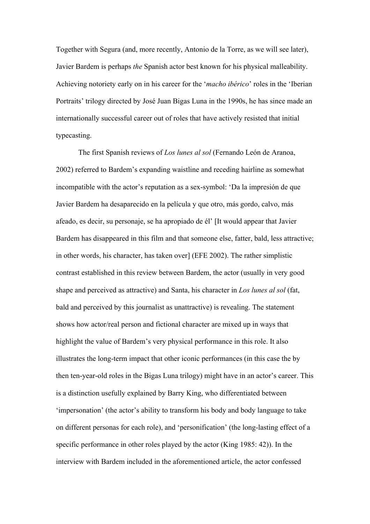Together with Segura (and, more recently, Antonio de la Torre, as we will see later), Javier Bardem is perhaps *the* Spanish actor best known for his physical malleability. Achieving notoriety early on in his career for the '*macho ibérico*' roles in the 'Iberian Portraits' trilogy directed by José Juan Bigas Luna in the 1990s, he has since made an internationally successful career out of roles that have actively resisted that initial typecasting.

The first Spanish reviews of *Los lunes al sol* (Fernando León de Aranoa, 2002) referred to Bardem's expanding waistline and receding hairline as somewhat incompatible with the actor's reputation as a sex-symbol: 'Da la impresión de que Javier Bardem ha desaparecido en la película y que otro, más gordo, calvo, más afeado, es decir, su personaje, se ha apropiado de él' [It would appear that Javier Bardem has disappeared in this film and that someone else, fatter, bald, less attractive; in other words, his character, has taken over] (EFE 2002). The rather simplistic contrast established in this review between Bardem, the actor (usually in very good shape and perceived as attractive) and Santa, his character in *Los lunes al sol* (fat, bald and perceived by this journalist as unattractive) is revealing. The statement shows how actor/real person and fictional character are mixed up in ways that highlight the value of Bardem's very physical performance in this role. It also illustrates the long-term impact that other iconic performances (in this case the by then ten-year-old roles in the Bigas Luna trilogy) might have in an actor's career. This is a distinction usefully explained by Barry King, who differentiated between 'impersonation' (the actor's ability to transform his body and body language to take on different personas for each role), and 'personification' (the long-lasting effect of a specific performance in other roles played by the actor (King 1985: 42)). In the interview with Bardem included in the aforementioned article, the actor confessed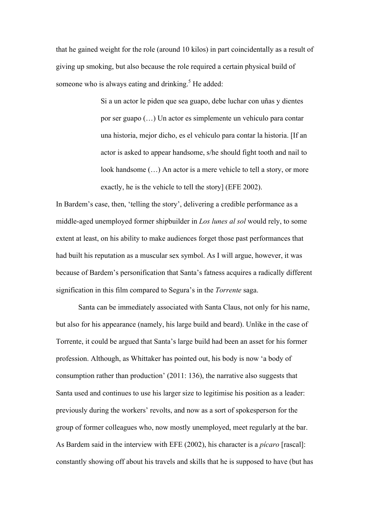that he gained weight for the role (around 10 kilos) in part coincidentally as a result of giving up smoking, but also because the role required a certain physical build of someone who is always eating and drinking.<sup>5</sup> He added:

> Si a un actor le piden que sea guapo, debe luchar con uñas y dientes por ser guapo (…) Un actor es simplemente un vehículo para contar una historia, mejor dicho, es el vehículo para contar la historia. [If an actor is asked to appear handsome, s/he should fight tooth and nail to look handsome (…) An actor is a mere vehicle to tell a story, or more exactly, he is the vehicle to tell the story] (EFE 2002).

In Bardem's case, then, 'telling the story', delivering a credible performance as a middle-aged unemployed former shipbuilder in *Los lunes al sol* would rely, to some extent at least, on his ability to make audiences forget those past performances that had built his reputation as a muscular sex symbol. As I will argue, however, it was because of Bardem's personification that Santa's fatness acquires a radically different signification in this film compared to Segura's in the *Torrente* saga.

Santa can be immediately associated with Santa Claus, not only for his name, but also for his appearance (namely, his large build and beard). Unlike in the case of Torrente, it could be argued that Santa's large build had been an asset for his former profession. Although, as Whittaker has pointed out, his body is now 'a body of consumption rather than production' (2011: 136), the narrative also suggests that Santa used and continues to use his larger size to legitimise his position as a leader: previously during the workers' revolts, and now as a sort of spokesperson for the group of former colleagues who, now mostly unemployed, meet regularly at the bar. As Bardem said in the interview with EFE (2002), his character is a *pícaro* [rascal]: constantly showing off about his travels and skills that he is supposed to have (but has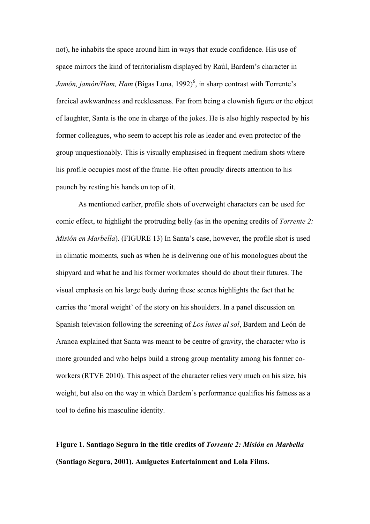not), he inhabits the space around him in ways that exude confidence. His use of space mirrors the kind of territorialism displayed by Raúl, Bardem's character in Jamón, jamón/Ham, Ham (Bigas Luna, 1992)<sup>6</sup>, in sharp contrast with Torrente's farcical awkwardness and recklessness. Far from being a clownish figure or the object of laughter, Santa is the one in charge of the jokes. He is also highly respected by his former colleagues, who seem to accept his role as leader and even protector of the group unquestionably. This is visually emphasised in frequent medium shots where his profile occupies most of the frame. He often proudly directs attention to his paunch by resting his hands on top of it.

As mentioned earlier, profile shots of overweight characters can be used for comic effect, to highlight the protruding belly (as in the opening credits of *Torrente 2: Misión en Marbella*). (FIGURE 13) In Santa's case, however, the profile shot is used in climatic moments, such as when he is delivering one of his monologues about the shipyard and what he and his former workmates should do about their futures. The visual emphasis on his large body during these scenes highlights the fact that he carries the 'moral weight' of the story on his shoulders. In a panel discussion on Spanish television following the screening of *Los lunes al sol*, Bardem and León de Aranoa explained that Santa was meant to be centre of gravity, the character who is more grounded and who helps build a strong group mentality among his former coworkers (RTVE 2010). This aspect of the character relies very much on his size, his weight, but also on the way in which Bardem's performance qualifies his fatness as a tool to define his masculine identity.

**Figure 1. Santiago Segura in the title credits of** *Torrente 2: Misión en Marbella* **(Santiago Segura, 2001). Amiguetes Entertainment and Lola Films.**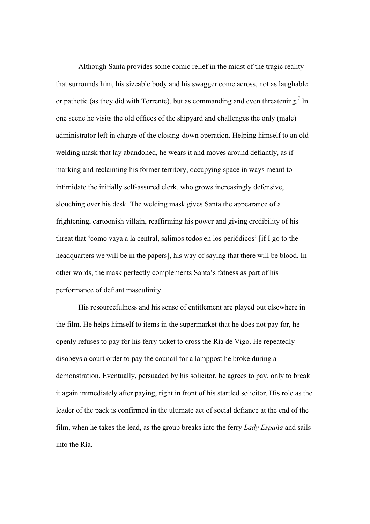Although Santa provides some comic relief in the midst of the tragic reality that surrounds him, his sizeable body and his swagger come across, not as laughable or pathetic (as they did with Torrente), but as commanding and even threatening.<sup>7</sup> In one scene he visits the old offices of the shipyard and challenges the only (male) administrator left in charge of the closing-down operation. Helping himself to an old welding mask that lay abandoned, he wears it and moves around defiantly, as if marking and reclaiming his former territory, occupying space in ways meant to intimidate the initially self-assured clerk, who grows increasingly defensive, slouching over his desk. The welding mask gives Santa the appearance of a frightening, cartoonish villain, reaffirming his power and giving credibility of his threat that 'como vaya a la central, salimos todos en los periódicos' [if I go to the headquarters we will be in the papers], his way of saying that there will be blood. In other words, the mask perfectly complements Santa's fatness as part of his performance of defiant masculinity.

His resourcefulness and his sense of entitlement are played out elsewhere in the film. He helps himself to items in the supermarket that he does not pay for, he openly refuses to pay for his ferry ticket to cross the Ría de Vigo. He repeatedly disobeys a court order to pay the council for a lamppost he broke during a demonstration. Eventually, persuaded by his solicitor, he agrees to pay, only to break it again immediately after paying, right in front of his startled solicitor. His role as the leader of the pack is confirmed in the ultimate act of social defiance at the end of the film, when he takes the lead, as the group breaks into the ferry *Lady España* and sails into the Ría.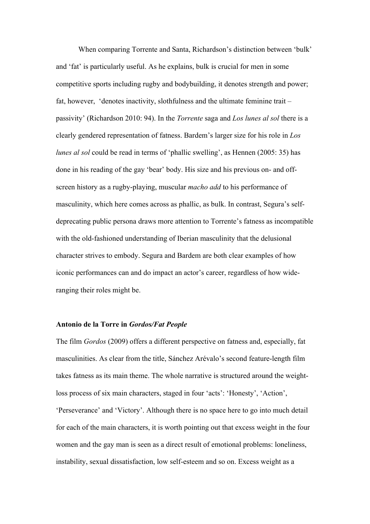When comparing Torrente and Santa, Richardson's distinction between 'bulk' and 'fat' is particularly useful. As he explains, bulk is crucial for men in some competitive sports including rugby and bodybuilding, it denotes strength and power; fat, however, 'denotes inactivity, slothfulness and the ultimate feminine trait – passivity' (Richardson 2010: 94). In the *Torrente* saga and *Los lunes al sol* there is a clearly gendered representation of fatness. Bardem's larger size for his role in *Los lunes al sol* could be read in terms of 'phallic swelling', as Hennen (2005: 35) has done in his reading of the gay 'bear' body. His size and his previous on- and offscreen history as a rugby-playing, muscular *macho add* to his performance of masculinity, which here comes across as phallic, as bulk. In contrast, Segura's selfdeprecating public persona draws more attention to Torrente's fatness as incompatible with the old-fashioned understanding of Iberian masculinity that the delusional character strives to embody. Segura and Bardem are both clear examples of how iconic performances can and do impact an actor's career, regardless of how wideranging their roles might be.

## **Antonio de la Torre in** *Gordos/Fat People*

The film *Gordos* (2009) offers a different perspective on fatness and, especially, fat masculinities. As clear from the title, Sánchez Arévalo's second feature-length film takes fatness as its main theme. The whole narrative is structured around the weightloss process of six main characters, staged in four 'acts': 'Honesty', 'Action', 'Perseverance' and 'Victory'. Although there is no space here to go into much detail for each of the main characters, it is worth pointing out that excess weight in the four women and the gay man is seen as a direct result of emotional problems: loneliness, instability, sexual dissatisfaction, low self-esteem and so on. Excess weight as a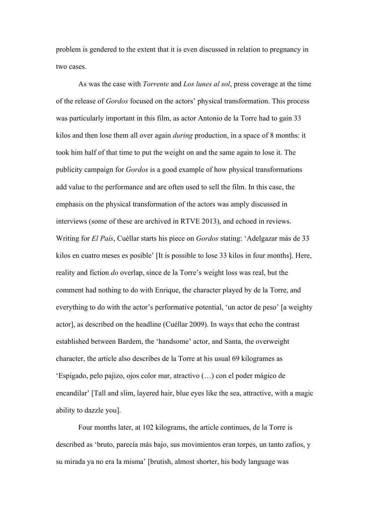problem is gendered to the extent that it is even discussed in relation to pregnancy in two cases.

As was the case with *Torrente* and *Los lunes al sol*, press coverage at the time of the release of *Gordos* focused on the actors' physical transformation. This process was particularly important in this film, as actor Antonio de la Torre had to gain 33 kilos and then lose them all over again *during* production, in a space of 8 months: it took him half of that time to put the weight on and the same again to lose it. The publicity campaign for *Gordos* is a good example of how physical transformations add value to the performance and are often used to sell the film. In this case, the emphasis on the physical transformation of the actors was amply discussed in interviews (some of these are archived in RTVE 2013), and echoed in reviews. Writing for *El País*, Cuéllar starts his piece on *Gordos* stating: 'Adelgazar más de 33 kilos en cuatro meses es posible' [It is possible to lose 33 kilos in four months]. Here, reality and fiction *do* overlap, since de la Torre's weight loss was real, but the comment had nothing to do with Enrique, the character played by de la Torre, and everything to do with the actor's performative potential, 'un actor de peso' [a weighty actor], as described on the headline (Cuéllar 2009). In ways that echo the contrast established between Bardem, the 'handsome' actor, and Santa, the overweight character, the article also describes de la Torre at his usual 69 kilogrames as 'Espigado, pelo pajizo, ojos color mar, atractivo (…) con el poder mágico de encandilar' [Tall and slim, layered hair, blue eyes like the sea, attractive, with a magic ability to dazzle you].

Four months later, at 102 kilograms, the article continues, de la Torre is described as 'bruto, parecía más bajo, sus movimientos eran torpes, un tanto zafios, y su mirada ya no era la misma' [brutish, almost shorter, his body language was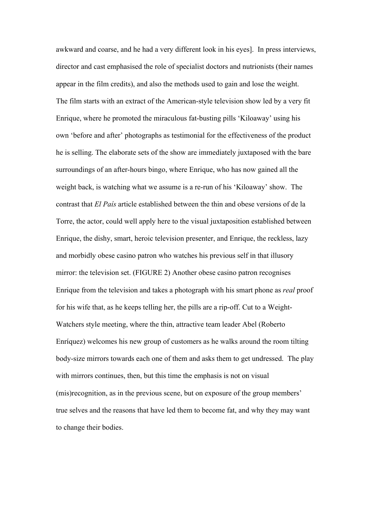awkward and coarse, and he had a very different look in his eyes]. In press interviews, director and cast emphasised the role of specialist doctors and nutrionists (their names appear in the film credits), and also the methods used to gain and lose the weight. The film starts with an extract of the American-style television show led by a very fit Enrique, where he promoted the miraculous fat-busting pills 'Kiloaway' using his own 'before and after' photographs as testimonial for the effectiveness of the product he is selling. The elaborate sets of the show are immediately juxtaposed with the bare surroundings of an after-hours bingo, where Enrique, who has now gained all the weight back, is watching what we assume is a re-run of his 'Kiloaway' show. The contrast that *El País* article established between the thin and obese versions of de la Torre, the actor, could well apply here to the visual juxtaposition established between Enrique, the dishy, smart, heroic television presenter, and Enrique, the reckless, lazy and morbidly obese casino patron who watches his previous self in that illusory mirror: the television set. (FIGURE 2) Another obese casino patron recognises Enrique from the television and takes a photograph with his smart phone as *real* proof for his wife that, as he keeps telling her, the pills are a rip-off. Cut to a Weight-Watchers style meeting, where the thin, attractive team leader Abel (Roberto Enríquez) welcomes his new group of customers as he walks around the room tilting body-size mirrors towards each one of them and asks them to get undressed. The play with mirrors continues, then, but this time the emphasis is not on visual (mis)recognition, as in the previous scene, but on exposure of the group members' true selves and the reasons that have led them to become fat, and why they may want to change their bodies.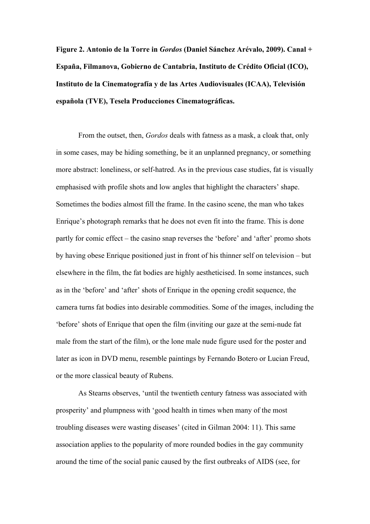**Figure 2. Antonio de la Torre in** *Gordos* **(Daniel Sánchez Arévalo, 2009). Canal + España, Filmanova, Gobierno de Cantabria, Instituto de Crédito Oficial (ICO), Instituto de la Cinematografía y de las Artes Audiovisuales (ICAA), Televisión española (TVE), Tesela Producciones Cinematográficas.**

From the outset, then, *Gordos* deals with fatness as a mask, a cloak that, only in some cases, may be hiding something, be it an unplanned pregnancy, or something more abstract: loneliness, or self-hatred. As in the previous case studies, fat is visually emphasised with profile shots and low angles that highlight the characters' shape. Sometimes the bodies almost fill the frame. In the casino scene, the man who takes Enrique's photograph remarks that he does not even fit into the frame. This is done partly for comic effect – the casino snap reverses the 'before' and 'after' promo shots by having obese Enrique positioned just in front of his thinner self on television – but elsewhere in the film, the fat bodies are highly aestheticised. In some instances, such as in the 'before' and 'after' shots of Enrique in the opening credit sequence, the camera turns fat bodies into desirable commodities. Some of the images, including the 'before' shots of Enrique that open the film (inviting our gaze at the semi-nude fat male from the start of the film), or the lone male nude figure used for the poster and later as icon in DVD menu, resemble paintings by Fernando Botero or Lucian Freud, or the more classical beauty of Rubens.

As Stearns observes, 'until the twentieth century fatness was associated with prosperity' and plumpness with 'good health in times when many of the most troubling diseases were wasting diseases' (cited in Gilman 2004: 11). This same association applies to the popularity of more rounded bodies in the gay community around the time of the social panic caused by the first outbreaks of AIDS (see, for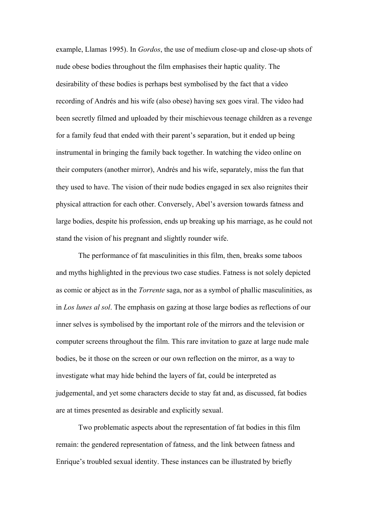example, Llamas 1995). In *Gordos*, the use of medium close-up and close-up shots of nude obese bodies throughout the film emphasises their haptic quality. The desirability of these bodies is perhaps best symbolised by the fact that a video recording of Andrés and his wife (also obese) having sex goes viral. The video had been secretly filmed and uploaded by their mischievous teenage children as a revenge for a family feud that ended with their parent's separation, but it ended up being instrumental in bringing the family back together. In watching the video online on their computers (another mirror), Andrés and his wife, separately, miss the fun that they used to have. The vision of their nude bodies engaged in sex also reignites their physical attraction for each other. Conversely, Abel's aversion towards fatness and large bodies, despite his profession, ends up breaking up his marriage, as he could not stand the vision of his pregnant and slightly rounder wife.

The performance of fat masculinities in this film, then, breaks some taboos and myths highlighted in the previous two case studies. Fatness is not solely depicted as comic or abject as in the *Torrente* saga, nor as a symbol of phallic masculinities, as in *Los lunes al sol*. The emphasis on gazing at those large bodies as reflections of our inner selves is symbolised by the important role of the mirrors and the television or computer screens throughout the film. This rare invitation to gaze at large nude male bodies, be it those on the screen or our own reflection on the mirror, as a way to investigate what may hide behind the layers of fat, could be interpreted as judgemental, and yet some characters decide to stay fat and, as discussed, fat bodies are at times presented as desirable and explicitly sexual.

Two problematic aspects about the representation of fat bodies in this film remain: the gendered representation of fatness, and the link between fatness and Enrique's troubled sexual identity. These instances can be illustrated by briefly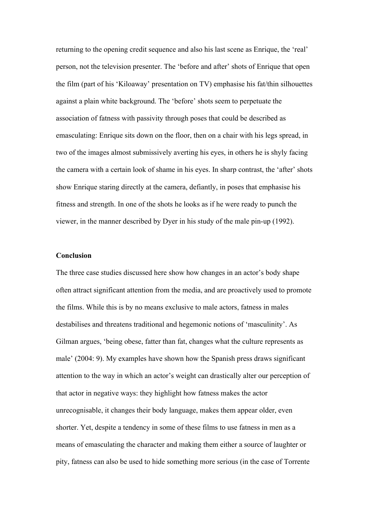returning to the opening credit sequence and also his last scene as Enrique, the 'real' person, not the television presenter. The 'before and after' shots of Enrique that open the film (part of his 'Kiloaway' presentation on TV) emphasise his fat/thin silhouettes against a plain white background. The 'before' shots seem to perpetuate the association of fatness with passivity through poses that could be described as emasculating: Enrique sits down on the floor, then on a chair with his legs spread, in two of the images almost submissively averting his eyes, in others he is shyly facing the camera with a certain look of shame in his eyes. In sharp contrast, the 'after' shots show Enrique staring directly at the camera, defiantly, in poses that emphasise his fitness and strength. In one of the shots he looks as if he were ready to punch the viewer, in the manner described by Dyer in his study of the male pin-up (1992).

### **Conclusion**

The three case studies discussed here show how changes in an actor's body shape often attract significant attention from the media, and are proactively used to promote the films. While this is by no means exclusive to male actors, fatness in males destabilises and threatens traditional and hegemonic notions of 'masculinity'. As Gilman argues, 'being obese, fatter than fat, changes what the culture represents as male' (2004: 9). My examples have shown how the Spanish press draws significant attention to the way in which an actor's weight can drastically alter our perception of that actor in negative ways: they highlight how fatness makes the actor unrecognisable, it changes their body language, makes them appear older, even shorter. Yet, despite a tendency in some of these films to use fatness in men as a means of emasculating the character and making them either a source of laughter or pity, fatness can also be used to hide something more serious (in the case of Torrente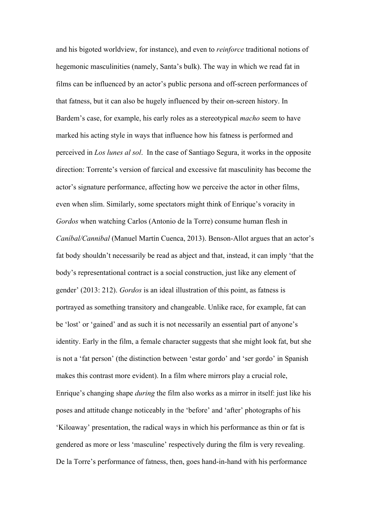and his bigoted worldview, for instance), and even to *reinforce* traditional notions of hegemonic masculinities (namely, Santa's bulk). The way in which we read fat in films can be influenced by an actor's public persona and off-screen performances of that fatness, but it can also be hugely influenced by their on-screen history. In Bardem's case, for example, his early roles as a stereotypical *macho* seem to have marked his acting style in ways that influence how his fatness is performed and perceived in *Los lunes al sol*. In the case of Santiago Segura, it works in the opposite direction: Torrente's version of farcical and excessive fat masculinity has become the actor's signature performance, affecting how we perceive the actor in other films, even when slim. Similarly, some spectators might think of Enrique's voracity in *Gordos* when watching Carlos (Antonio de la Torre) consume human flesh in *Caníbal/Cannibal* (Manuel Martín Cuenca, 2013). Benson-Allot argues that an actor's fat body shouldn't necessarily be read as abject and that, instead, it can imply 'that the body's representational contract is a social construction, just like any element of gender' (2013: 212). *Gordos* is an ideal illustration of this point, as fatness is portrayed as something transitory and changeable. Unlike race, for example, fat can be 'lost' or 'gained' and as such it is not necessarily an essential part of anyone's identity. Early in the film, a female character suggests that she might look fat, but she is not a 'fat person' (the distinction between 'estar gordo' and 'ser gordo' in Spanish makes this contrast more evident). In a film where mirrors play a crucial role, Enrique's changing shape *during* the film also works as a mirror in itself: just like his poses and attitude change noticeably in the 'before' and 'after' photographs of his 'Kiloaway' presentation, the radical ways in which his performance as thin or fat is gendered as more or less 'masculine' respectively during the film is very revealing. De la Torre's performance of fatness, then, goes hand-in-hand with his performance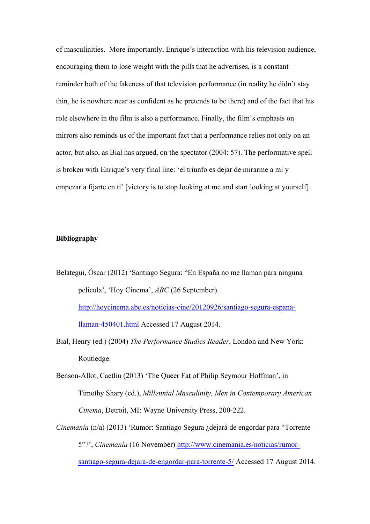of masculinities. More importantly, Enrique's interaction with his television audience, encouraging them to lose weight with the pills that he advertises, is a constant reminder both of the fakeness of that television performance (in reality he didn't stay thin, he is nowhere near as confident as he pretends to be there) and of the fact that his role elsewhere in the film is also a performance. Finally, the film's emphasis on mirrors also reminds us of the important fact that a performance relies not only on an actor, but also, as Bial has argued, on the spectator (2004: 57). The performative spell is broken with Enrique's very final line: 'el triunfo es dejar de mirarme a mí y empezar a fijarte en ti' [victory is to stop looking at me and start looking at yourself].

#### **Bibliography**

- Belategui, Óscar (2012) 'Santiago Segura: "En España no me llaman para ninguna película', 'Hoy Cinema', *ABC* (26 September). http://hoycinema.abc.es/noticias-cine/20120926/santiago-segura-espanallaman-450401.html Accessed 17 August 2014.
- Bial, Henry (ed.) (2004) *The Performance Studies Reader*, London and New York: Routledge.
- Benson-Allot, Caetlin (2013) 'The Queer Fat of Philip Seymour Hoffman', in Timothy Shary (ed.), *Millennial Masculinity. Men in Contemporary American Cinema*, Detroit, MI: Wayne University Press, 200-222.
- *Cinemanía* (n/a) (2013) 'Rumor: Santiago Segura ¿dejará de engordar para "Torrente 5"?', *Cinemanía* (16 November) http://www.cinemania.es/noticias/rumor-

santiago-segura-dejara-de-engordar-para-torrente-5/ Accessed 17 August 2014.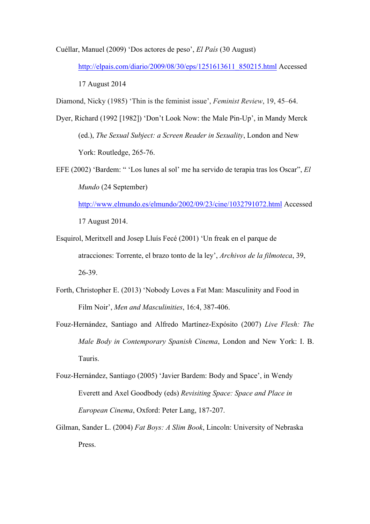Cuéllar, Manuel (2009) 'Dos actores de peso', *El País* (30 August)

http://elpais.com/diario/2009/08/30/eps/1251613611\_850215.html Accessed 17 August 2014

Diamond, Nicky (1985) 'Thin is the feminist issue', *Feminist Review*, 19, 45–64.

- Dyer, Richard (1992 [1982]) 'Don't Look Now: the Male Pin-Up', in Mandy Merck (ed.), *The Sexual Subject: a Screen Reader in Sexuality*, London and New York: Routledge, 265-76.
- EFE (2002) 'Bardem: " 'Los lunes al sol' me ha servido de terapia tras los Oscar", *El Mundo* (24 September) http://www.elmundo.es/elmundo/2002/09/23/cine/1032791072.html Accessed 17 August 2014.
- Esquirol, Meritxell and Josep Lluís Fecé (2001) 'Un freak en el parque de atracciones: Torrente, el brazo tonto de la ley', *Archivos de la filmoteca*, 39, 26-39.
- Forth, Christopher E. (2013) 'Nobody Loves a Fat Man: Masculinity and Food in Film Noir', *Men and Masculinities*, 16:4, 387-406.
- Fouz-Hernández, Santiago and Alfredo Martínez-Expósito (2007) *Live Flesh: The Male Body in Contemporary Spanish Cinema*, London and New York: I. B. Tauris.
- Fouz-Hernández, Santiago (2005) 'Javier Bardem: Body and Space', in Wendy Everett and Axel Goodbody (eds) *Revisiting Space: Space and Place in European Cinema*, Oxford: Peter Lang, 187-207.
- Gilman, Sander L. (2004) *Fat Boys: A Slim Book*, Lincoln: University of Nebraska Press.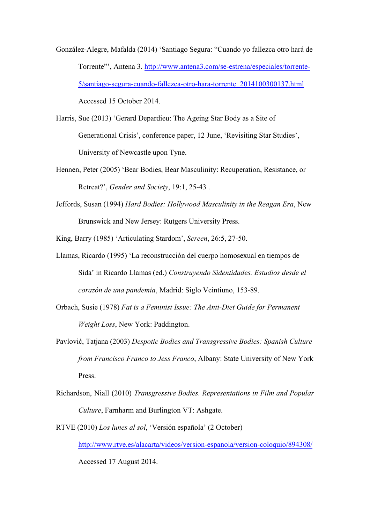González-Alegre, Mafalda (2014) 'Santiago Segura: "Cuando yo fallezca otro hará de Torrente"', Antena 3. http://www.antena3.com/se-estrena/especiales/torrente-5/santiago-segura-cuando-fallezca-otro-hara-torrente\_2014100300137.html Accessed 15 October 2014.

Harris, Sue (2013) 'Gerard Depardieu: The Ageing Star Body as a Site of Generational Crisis', conference paper, 12 June, 'Revisiting Star Studies', University of Newcastle upon Tyne.

- Hennen, Peter (2005) 'Bear Bodies, Bear Masculinity: Recuperation, Resistance, or Retreat?', *Gender and Society*, 19:1, 25-43 .
- Jeffords, Susan (1994) *Hard Bodies: Hollywood Masculinity in the Reagan Era*, New Brunswick and New Jersey: Rutgers University Press.

King, Barry (1985) 'Articulating Stardom', *Screen*, 26:5, 27-50.

- Llamas, Ricardo (1995) 'La reconstrucción del cuerpo homosexual en tiempos de Sida' in Ricardo Llamas (ed.) *Construyendo Sidentidades. Estudios desde el corazón de una pandemia*, Madrid: Siglo Veintiuno, 153-89.
- Orbach, Susie (1978) *Fat is a Feminist Issue: The Anti-Diet Guide for Permanent Weight Loss*, New York: Paddington.
- Pavlović, Tatjana (2003) *Despotic Bodies and Transgressive Bodies: Spanish Culture from Francisco Franco to Jess Franco*, Albany: State University of New York Press.
- Richardson, Niall (2010) *Transgressive Bodies. Representations in Film and Popular Culture*, Farnharm and Burlington VT: Ashgate.
- RTVE (2010) *Los lunes al sol*, 'Versión española' (2 October) http://www.rtve.es/alacarta/videos/version-espanola/version-coloquio/894308/ Accessed 17 August 2014.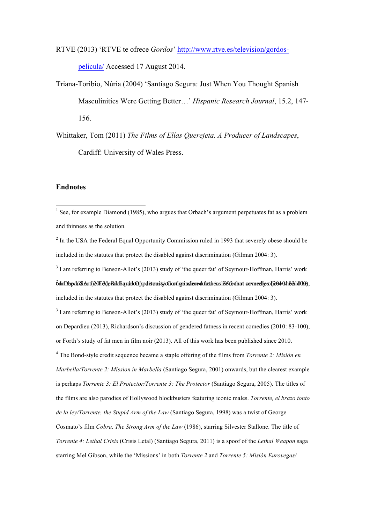RTVE (2013) 'RTVE te ofrece *Gordos*' http://www.rtve.es/television/gordospelicula/ Accessed 17 August 2014.

Triana-Toribio, Núria (2004) 'Santiago Segura: Just When You Thought Spanish Masculinities Were Getting Better…' *Hispanic Research Journal*, 15.2, 147- 156.

Whittaker, Tom (2011) *The Films of Elías Querejeta. A Producer of Landscapes*, Cardiff: University of Wales Press.

#### **Endnotes**

<sup>2</sup> In the USA the Federal Equal Opportunity Commission ruled in 1993 that severely obese should be included in the statutes that protect the disabled against discrimination (Gilman 2004: 3).

<sup>3</sup> I am referring to Benson-Allot's (2013) study of 'the queer fat' of Seymour-Hoffman, Harris' work  $\delta$ m Depardieu (12013), Bendered fan die Richards op discussion of general fact the federal Equal opportunity Commission rule in 1993 that  $\delta$  100, 2013 that in 1993 that severe should be shown in 1993 that severe shoul included in the statutes that protect the disabled against discrimination (Gilman 2004: 3).

<sup>3</sup> I am referring to Benson-Allot's (2013) study of 'the queer fat' of Seymour-Hoffman, Harris' work on Depardieu (2013), Richardson's discussion of gendered fatness in recent comedies (2010: 83-100), or Forth's study of fat men in film noir (2013). All of this work has been published since 2010. <sup>4</sup> The Bond-style credit sequence became a staple offering of the films from *Torrente 2: Misión en Marbella/Torrente 2: Mission in Marbella* (Santiago Segura, 2001) onwards, but the clearest example is perhaps *Torrente 3: El Protector/Torrente 3: The Protector* (Santiago Segura, 2005). The titles of the films are also parodies of Hollywood blockbusters featuring iconic males. *Torrente, el brazo tonto de la ley/Torrente, the Stupid Arm of the Law* (Santiago Segura, 1998) was a twist of George Cosmato's film *Cobra, The Strong Arm of the Law* (1986), starring Silvester Stallone. The title of *Torrente 4: Lethal Crisis* (Crisis Letal) (Santiago Segura, 2011) is a spoof of the *Lethal Weapon* saga starring Mel Gibson, while the 'Missions' in both *Torrente 2* and *Torrente 5: Misión Eurovegas/* 

<sup>&</sup>lt;sup>1</sup> See, for example Diamond (1985), who argues that Orbach's argument perpetuates fat as a problem and thinness as the solution.